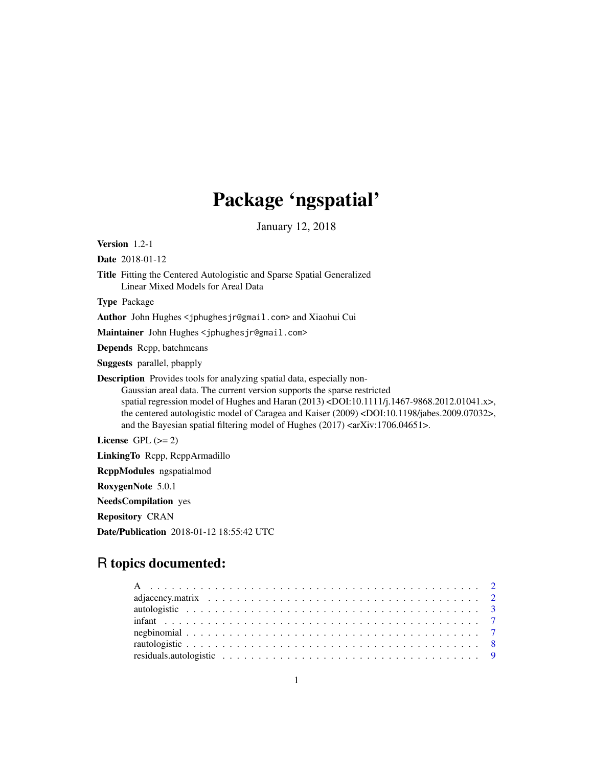# Package 'ngspatial'

January 12, 2018

<span id="page-0-0"></span>Version 1.2-1

Date 2018-01-12

Title Fitting the Centered Autologistic and Sparse Spatial Generalized Linear Mixed Models for Areal Data

Type Package

Author John Hughes <jphughesjr@gmail.com> and Xiaohui Cui

Maintainer John Hughes <jphughesjr@gmail.com>

Depends Rcpp, batchmeans

Suggests parallel, pbapply

Description Provides tools for analyzing spatial data, especially non-Gaussian areal data. The current version supports the sparse restricted spatial regression model of Hughes and Haran (2013) <DOI:10.1111/j.1467-9868.2012.01041.x>, the centered autologistic model of Caragea and Kaiser (2009) <DOI:10.1198/jabes.2009.07032>, and the Bayesian spatial filtering model of Hughes (2017) <arXiv:1706.04651>.

License GPL  $(>= 2)$ 

LinkingTo Rcpp, RcppArmadillo

RcppModules ngspatialmod

RoxygenNote 5.0.1

NeedsCompilation yes

Repository CRAN

Date/Publication 2018-01-12 18:55:42 UTC

# R topics documented: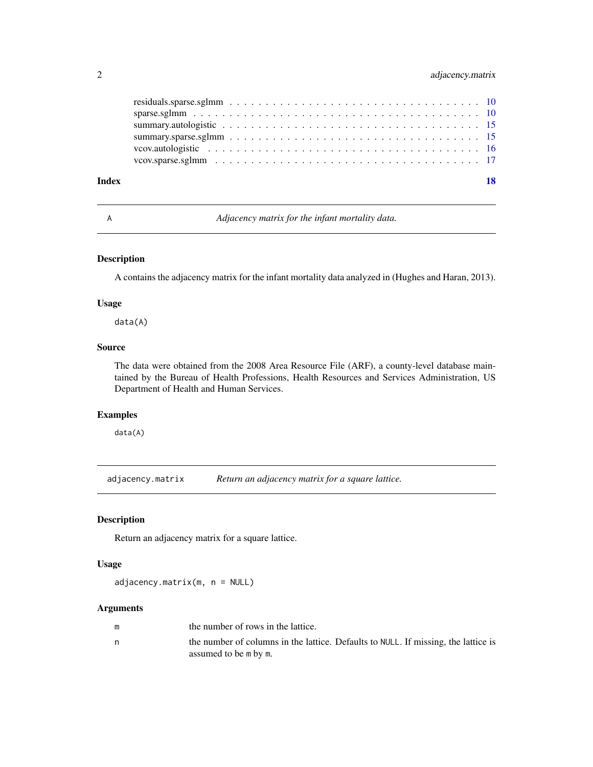# <span id="page-1-0"></span>2 adjacency.matrix

| Index | 18 |
|-------|----|
|       |    |
|       |    |
|       |    |
|       |    |
|       |    |
|       |    |

A *Adjacency matrix for the infant mortality data.*

# Description

A contains the adjacency matrix for the infant mortality data analyzed in (Hughes and Haran, 2013).

# Usage

data(A)

# Source

The data were obtained from the 2008 Area Resource File (ARF), a county-level database maintained by the Bureau of Health Professions, Health Resources and Services Administration, US Department of Health and Human Services.

# Examples

data(A)

adjacency.matrix *Return an adjacency matrix for a square lattice.*

# Description

Return an adjacency matrix for a square lattice.

# Usage

adjacency.matrix(m, n = NULL)

| m | the number of rows in the lattice.                                                                          |
|---|-------------------------------------------------------------------------------------------------------------|
|   | the number of columns in the lattice. Defaults to NULL. If missing, the lattice is<br>assumed to be m by m. |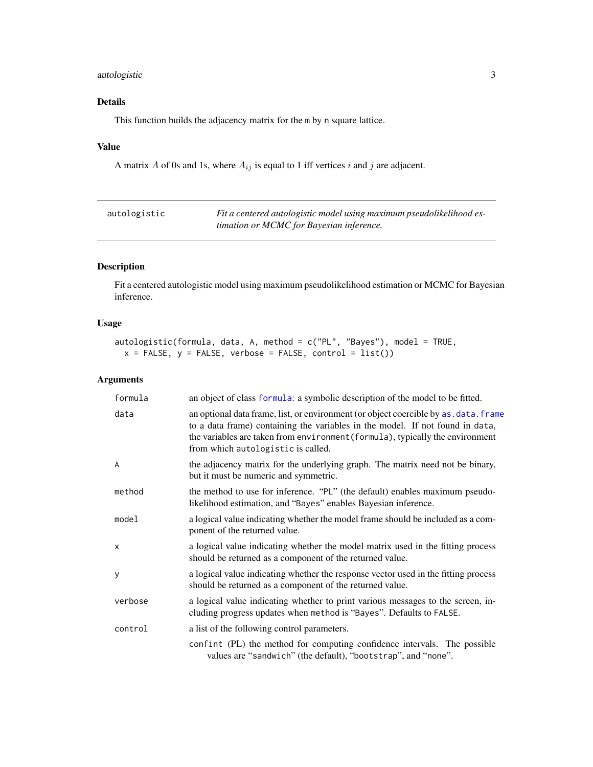# <span id="page-2-0"></span>autologistic 3

# Details

This function builds the adjacency matrix for the m by n square lattice.

# Value

A matrix  $A$  of 0s and 1s, where  $A_{ij}$  is equal to 1 iff vertices  $i$  and  $j$  are adjacent.

<span id="page-2-1"></span>

| autologistic | Fit a centered autologistic model using maximum pseudolikelihood es- |
|--------------|----------------------------------------------------------------------|
|              | timation or MCMC for Bayesian inference.                             |

# Description

Fit a centered autologistic model using maximum pseudolikelihood estimation or MCMC for Bayesian inference.

# Usage

```
autologistic(formula, data, A, method = c("PL", "Bayes"), model = TRUE,
 x = FALSE, y = FALSE, verbose = FALSE, control = list()
```

| formula | an object of class formula: a symbolic description of the model to be fitted.                                                                                                                                                                                                                 |
|---------|-----------------------------------------------------------------------------------------------------------------------------------------------------------------------------------------------------------------------------------------------------------------------------------------------|
| data    | an optional data frame, list, or environment (or object coercible by as . data. frame<br>to a data frame) containing the variables in the model. If not found in data,<br>the variables are taken from environment (formula), typically the environment<br>from which autologistic is called. |
| A       | the adjacency matrix for the underlying graph. The matrix need not be binary,<br>but it must be numeric and symmetric.                                                                                                                                                                        |
| method  | the method to use for inference. "PL" (the default) enables maximum pseudo-<br>likelihood estimation, and "Bayes" enables Bayesian inference.                                                                                                                                                 |
| model   | a logical value indicating whether the model frame should be included as a com-<br>ponent of the returned value.                                                                                                                                                                              |
| X       | a logical value indicating whether the model matrix used in the fitting process<br>should be returned as a component of the returned value.                                                                                                                                                   |
| y       | a logical value indicating whether the response vector used in the fitting process<br>should be returned as a component of the returned value.                                                                                                                                                |
| verbose | a logical value indicating whether to print various messages to the screen, in-<br>cluding progress updates when method is "Bayes". Defaults to FALSE.                                                                                                                                        |
| control | a list of the following control parameters.                                                                                                                                                                                                                                                   |
|         | confint (PL) the method for computing confidence intervals. The possible<br>values are "sandwich" (the default), "bootstrap", and "none".                                                                                                                                                     |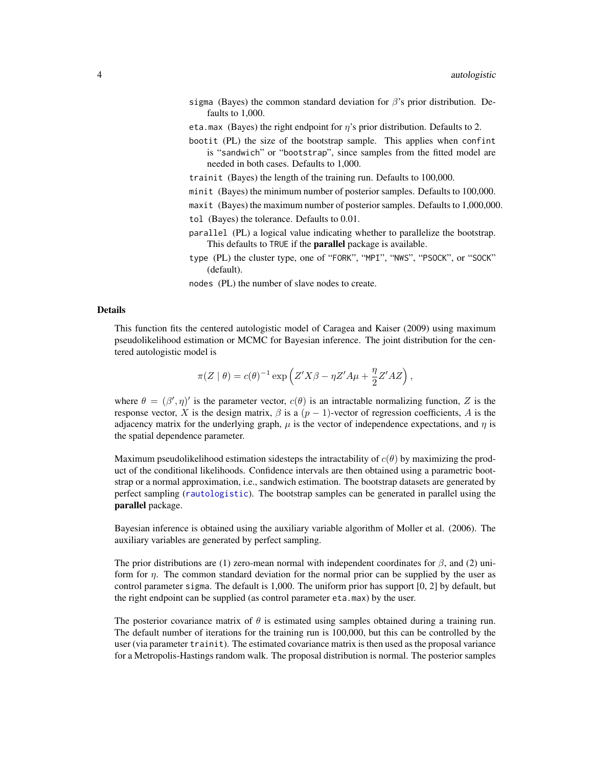- <span id="page-3-0"></span>sigma (Bayes) the common standard deviation for  $\beta$ 's prior distribution. Defaults to 1,000.
- eta.max (Bayes) the right endpoint for  $\eta$ 's prior distribution. Defaults to 2.
- bootit (PL) the size of the bootstrap sample. This applies when confint is "sandwich" or "bootstrap", since samples from the fitted model are needed in both cases. Defaults to 1,000.
- trainit (Bayes) the length of the training run. Defaults to 100,000.
- minit (Bayes) the minimum number of posterior samples. Defaults to 100,000.
- maxit (Bayes) the maximum number of posterior samples. Defaults to 1,000,000. tol (Bayes) the tolerance. Defaults to 0.01.
- parallel (PL) a logical value indicating whether to parallelize the bootstrap. This defaults to TRUE if the **parallel** package is available.
- type (PL) the cluster type, one of "FORK", "MPI", "NWS", "PSOCK", or "SOCK" (default).
- nodes (PL) the number of slave nodes to create.

# Details

This function fits the centered autologistic model of Caragea and Kaiser (2009) using maximum pseudolikelihood estimation or MCMC for Bayesian inference. The joint distribution for the centered autologistic model is

$$
\pi(Z | \theta) = c(\theta)^{-1} \exp\left(Z'X\beta - \eta Z'A\mu + \frac{\eta}{2}Z'AZ\right),\,
$$

where  $\theta = (\beta', \eta)'$  is the parameter vector,  $c(\theta)$  is an intractable normalizing function, Z is the response vector, X is the design matrix,  $\beta$  is a  $(p - 1)$ -vector of regression coefficients, A is the adjacency matrix for the underlying graph,  $\mu$  is the vector of independence expectations, and  $\eta$  is the spatial dependence parameter.

Maximum pseudolikelihood estimation sidesteps the intractability of  $c(\theta)$  by maximizing the product of the conditional likelihoods. Confidence intervals are then obtained using a parametric bootstrap or a normal approximation, i.e., sandwich estimation. The bootstrap datasets are generated by perfect sampling ([rautologistic](#page-7-1)). The bootstrap samples can be generated in parallel using the parallel package.

Bayesian inference is obtained using the auxiliary variable algorithm of Moller et al. (2006). The auxiliary variables are generated by perfect sampling.

The prior distributions are (1) zero-mean normal with independent coordinates for  $\beta$ , and (2) uniform for  $\eta$ . The common standard deviation for the normal prior can be supplied by the user as control parameter sigma. The default is 1,000. The uniform prior has support [0, 2] by default, but the right endpoint can be supplied (as control parameter eta.max) by the user.

The posterior covariance matrix of  $\theta$  is estimated using samples obtained during a training run. The default number of iterations for the training run is 100,000, but this can be controlled by the user (via parameter trainit). The estimated covariance matrix is then used as the proposal variance for a Metropolis-Hastings random walk. The proposal distribution is normal. The posterior samples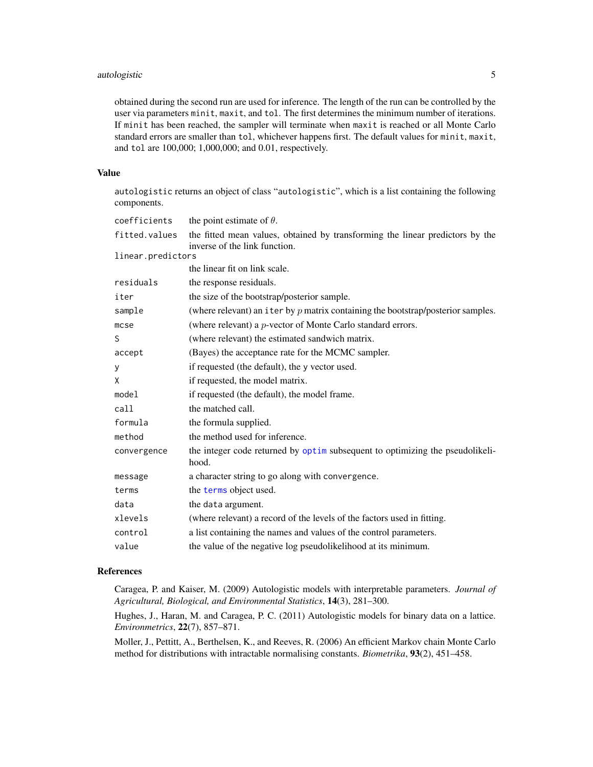# <span id="page-4-0"></span>autologistic 5

obtained during the second run are used for inference. The length of the run can be controlled by the user via parameters minit, maxit, and tol. The first determines the minimum number of iterations. If minit has been reached, the sampler will terminate when maxit is reached or all Monte Carlo standard errors are smaller than tol, whichever happens first. The default values for minit, maxit, and tol are 100,000; 1,000,000; and 0.01, respectively.

#### Value

autologistic returns an object of class "autologistic", which is a list containing the following components.

| coefficients      | the point estimate of $\theta$ .                                                                               |
|-------------------|----------------------------------------------------------------------------------------------------------------|
| fitted.values     | the fitted mean values, obtained by transforming the linear predictors by the<br>inverse of the link function. |
| linear.predictors |                                                                                                                |
|                   | the linear fit on link scale.                                                                                  |
| residuals         | the response residuals.                                                                                        |
| iter              | the size of the bootstrap/posterior sample.                                                                    |
| sample            | (where relevant) an iter by $p$ matrix containing the bootstrap/posterior samples.                             |
| $m$ cse           | (where relevant) a <i>p</i> -vector of Monte Carlo standard errors.                                            |
| S                 | (where relevant) the estimated sandwich matrix.                                                                |
| accept            | (Bayes) the acceptance rate for the MCMC sampler.                                                              |
| У                 | if requested (the default), the y vector used.                                                                 |
| X                 | if requested, the model matrix.                                                                                |
| model             | if requested (the default), the model frame.                                                                   |
| call              | the matched call.                                                                                              |
| formula           | the formula supplied.                                                                                          |
| method            | the method used for inference.                                                                                 |
| convergence       | the integer code returned by optim subsequent to optimizing the pseudolikeli-<br>hood.                         |
| message           | a character string to go along with convergence.                                                               |
| terms             | the terms object used.                                                                                         |
| data              | the data argument.                                                                                             |
| xlevels           | (where relevant) a record of the levels of the factors used in fitting.                                        |
| control           | a list containing the names and values of the control parameters.                                              |
| value             | the value of the negative log pseudolikelihood at its minimum.                                                 |

# References

Caragea, P. and Kaiser, M. (2009) Autologistic models with interpretable parameters. *Journal of Agricultural, Biological, and Environmental Statistics*, 14(3), 281–300.

Hughes, J., Haran, M. and Caragea, P. C. (2011) Autologistic models for binary data on a lattice. *Environmetrics*, 22(7), 857–871.

Moller, J., Pettitt, A., Berthelsen, K., and Reeves, R. (2006) An efficient Markov chain Monte Carlo method for distributions with intractable normalising constants. *Biometrika*, 93(2), 451–458.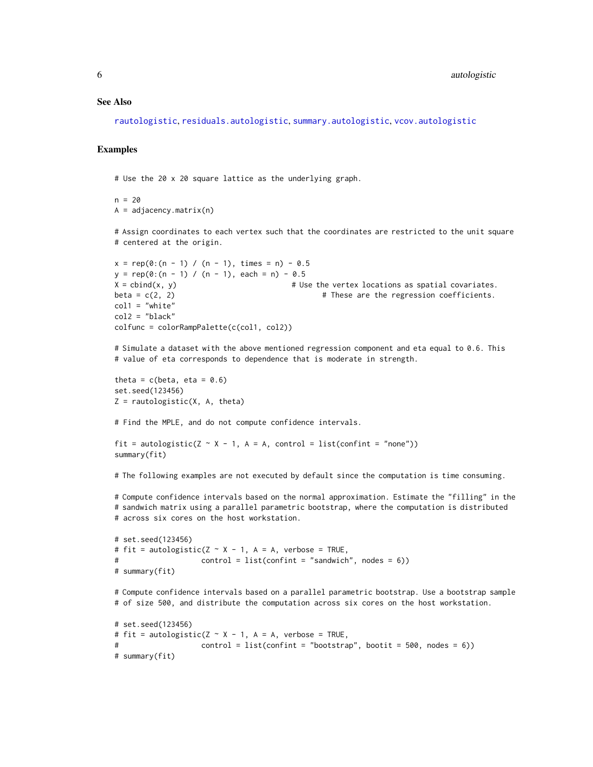#### <span id="page-5-0"></span>See Also

[rautologistic](#page-7-1), [residuals.autologistic](#page-8-1), [summary.autologistic](#page-14-1), [vcov.autologistic](#page-15-1)

#### Examples

# Use the 20 x 20 square lattice as the underlying graph.

 $n = 20$  $A = adjacency.matrix(n)$ 

# Assign coordinates to each vertex such that the coordinates are restricted to the unit square # centered at the origin.

```
x = rep(0:(n - 1) / (n - 1), times = n) - 0.5y = rep(0:(n - 1) / (n - 1), each = n) - 0.5X = \text{cbind}(x, y) # Use the vertex locations as spatial covariates.
beta = c(2, 2) # These are the regression coefficients.
coll = "white"col2 = "black"colfunc = colorRampPalette(c(col1, col2))
```
# Simulate a dataset with the above mentioned regression component and eta equal to 0.6. This # value of eta corresponds to dependence that is moderate in strength.

theta =  $c$ (beta, eta = 0.6) set.seed(123456)  $Z = \text{randomistic}(X, A, \text{theta})$ 

# Find the MPLE, and do not compute confidence intervals.

```
fit = autologistic(Z \sim X - 1, A = A, control = list(confint = "none"))
summary(fit)
```
# The following examples are not executed by default since the computation is time consuming.

# Compute confidence intervals based on the normal approximation. Estimate the "filling" in the # sandwich matrix using a parallel parametric bootstrap, where the computation is distributed # across six cores on the host workstation.

```
# set.seed(123456)
# fit = autologistic(Z \sim X - 1, A = A, verbose = TRUE,
# control = list(confint = "sandwich", nodes = 6))
# summary(fit)
```
# Compute confidence intervals based on a parallel parametric bootstrap. Use a bootstrap sample # of size 500, and distribute the computation across six cores on the host workstation.

```
# set.seed(123456)
# fit = autologistic(Z \sim X - 1, A = A, verbose = TRUE,
# control = list(confint = "bootstrap", bootit = 500, nodes = 6))
# summary(fit)
```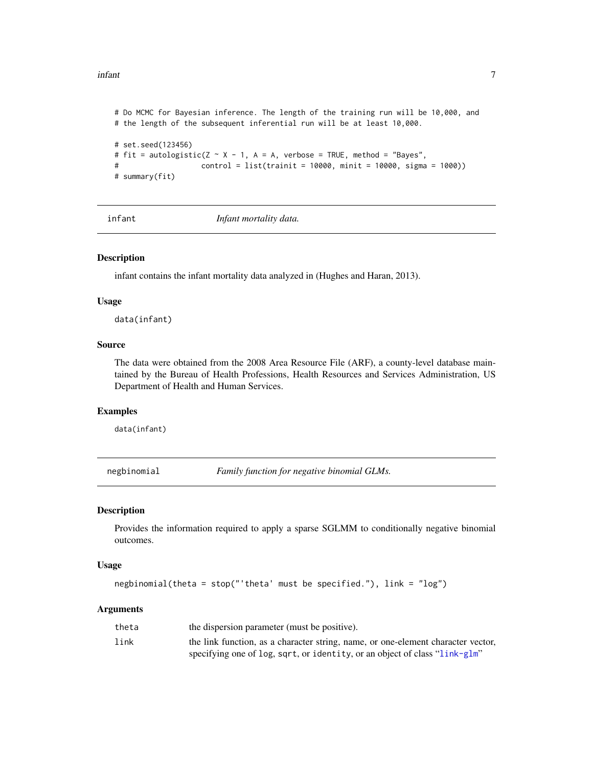<span id="page-6-0"></span>infant 77

```
# Do MCMC for Bayesian inference. The length of the training run will be 10,000, and
# the length of the subsequent inferential run will be at least 10,000.
# set.seed(123456)
# fit = autologistic(Z \sim X - 1, A = A, verbose = TRUE, method = "Bayes",
# control = list(trainit = 10000, minit = 10000, sigma = 1000))
# summary(fit)
```
infant *Infant mortality data.*

#### Description

infant contains the infant mortality data analyzed in (Hughes and Haran, 2013).

#### Usage

data(infant)

# Source

The data were obtained from the 2008 Area Resource File (ARF), a county-level database maintained by the Bureau of Health Professions, Health Resources and Services Administration, US Department of Health and Human Services.

### Examples

data(infant)

negbinomial *Family function for negative binomial GLMs.*

#### Description

Provides the information required to apply a sparse SGLMM to conditionally negative binomial outcomes.

#### Usage

```
negbinomial(theta = stop("'theta' must be specified."), link = "log")
```

| theta | the dispersion parameter (must be positive).                                     |
|-------|----------------------------------------------------------------------------------|
| link  | the link function, as a character string, name, or one-element character vector, |
|       | specifying one of log, sqrt, or identity, or an object of class "link-glm"       |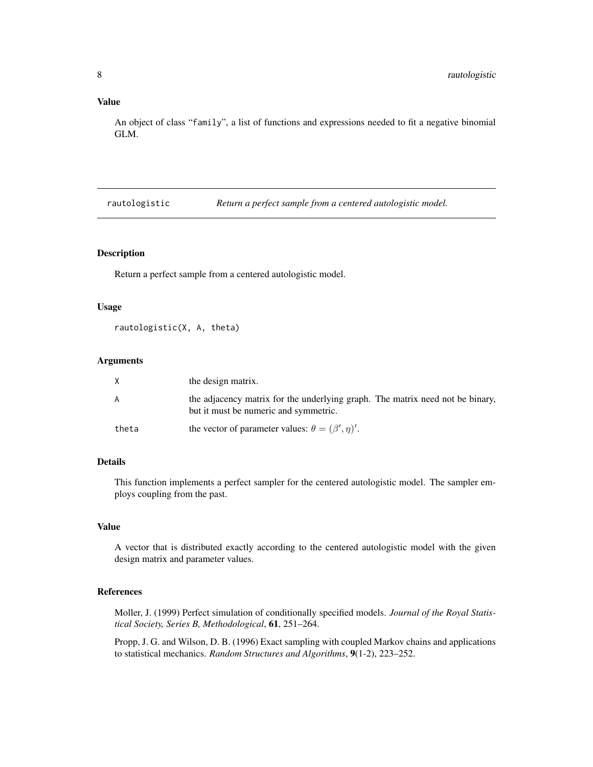# <span id="page-7-0"></span>Value

An object of class "family", a list of functions and expressions needed to fit a negative binomial GLM.

<span id="page-7-1"></span>rautologistic *Return a perfect sample from a centered autologistic model.*

#### Description

Return a perfect sample from a centered autologistic model.

# Usage

```
rautologistic(X, A, theta)
```
#### Arguments

| X     | the design matrix.                                                                                                     |
|-------|------------------------------------------------------------------------------------------------------------------------|
| A     | the adjacency matrix for the underlying graph. The matrix need not be binary,<br>but it must be numeric and symmetric. |
| theta | the vector of parameter values: $\theta = (\beta', \eta)'.$                                                            |

# Details

This function implements a perfect sampler for the centered autologistic model. The sampler employs coupling from the past.

# Value

A vector that is distributed exactly according to the centered autologistic model with the given design matrix and parameter values.

# References

Moller, J. (1999) Perfect simulation of conditionally specified models. *Journal of the Royal Statistical Society, Series B, Methodological*, 61, 251–264.

Propp, J. G. and Wilson, D. B. (1996) Exact sampling with coupled Markov chains and applications to statistical mechanics. *Random Structures and Algorithms*, 9(1-2), 223–252.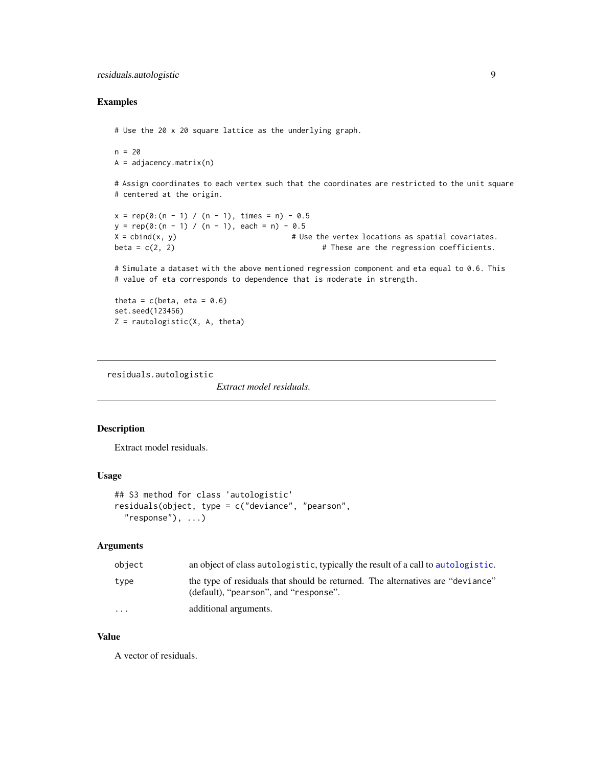# <span id="page-8-0"></span>Examples

# Use the 20 x 20 square lattice as the underlying graph.

 $n = 20$  $A = adjacency.matrix(n)$ 

# Assign coordinates to each vertex such that the coordinates are restricted to the unit square # centered at the origin.

 $x = rep(0:(n - 1) / (n - 1), times = n) - 0.5$  $y = rep(0:(n - 1) / (n - 1), each = n) - 0.5$  $X = \text{cbind}(x, y)$  # Use the vertex locations as spatial covariates. beta =  $c(2, 2)$   $\qquad \qquad$  # These are the regression coefficients.

# Simulate a dataset with the above mentioned regression component and eta equal to 0.6. This # value of eta corresponds to dependence that is moderate in strength.

theta =  $c(beta, eta = 0.6)$ set.seed(123456)  $Z = \text{rautologistic}(X, A, \text{theta})$ 

<span id="page-8-1"></span>residuals.autologistic

*Extract model residuals.*

# Description

Extract model residuals.

#### Usage

```
## S3 method for class 'autologistic'
residuals(object, type = c("deviance", "pearson",
  "response"), \ldots)
```
# Arguments

| object                  | an object of class autologistic, typically the result of a call to autologistic.                                        |
|-------------------------|-------------------------------------------------------------------------------------------------------------------------|
| type                    | the type of residuals that should be returned. The alternatives are "deviance"<br>(default), "pearson", and "response". |
| $\cdot$ $\cdot$ $\cdot$ | additional arguments.                                                                                                   |

#### Value

A vector of residuals.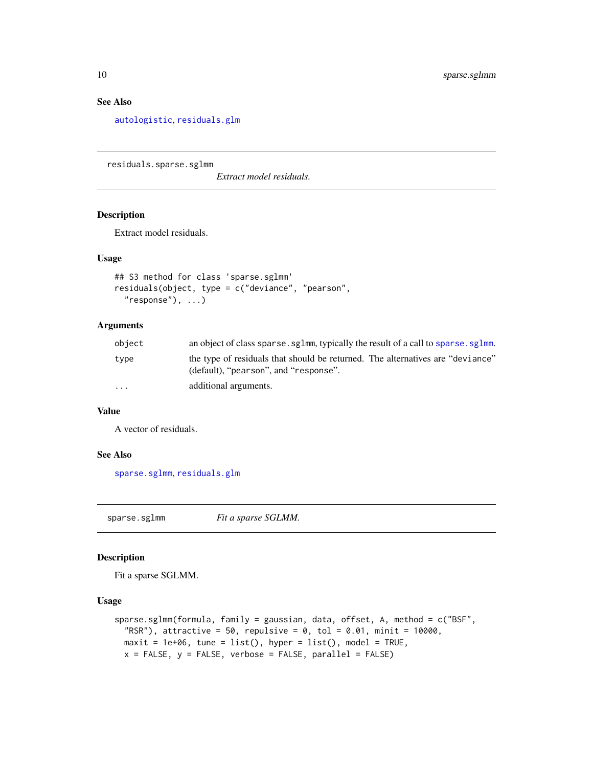# See Also

[autologistic](#page-2-1), [residuals.glm](#page-0-0)

<span id="page-9-2"></span>residuals.sparse.sglmm

*Extract model residuals.*

# Description

Extract model residuals.

#### Usage

```
## S3 method for class 'sparse.sglmm'
residuals(object, type = c("deviance", "pearson",
  "response"), ...)
```
# Arguments

| object   | an object of class sparse. sg1mm, typically the result of a call to sparse. sg1mm.                                      |
|----------|-------------------------------------------------------------------------------------------------------------------------|
| type     | the type of residuals that should be returned. The alternatives are "deviance"<br>(default), "pearson", and "response". |
| $\cdots$ | additional arguments.                                                                                                   |

# Value

A vector of residuals.

#### See Also

[sparse.sglmm](#page-9-1), [residuals.glm](#page-0-0)

<span id="page-9-1"></span>sparse.sglmm *Fit a sparse SGLMM.*

#### Description

Fit a sparse SGLMM.

# Usage

```
sparse.sglmm(formula, family = gaussian, data, offset, A, method = c("BSF",
  "RSR"), attractive = 50, repulsive = 0, tol = 0.01, minit = 10000,
 maxit = 1e+06, tune = list(), hyper = list(), model = TRUE,
 x = FALSE, y = FALSE, verbose = FALSE, parallel = FALSE)
```
<span id="page-9-0"></span>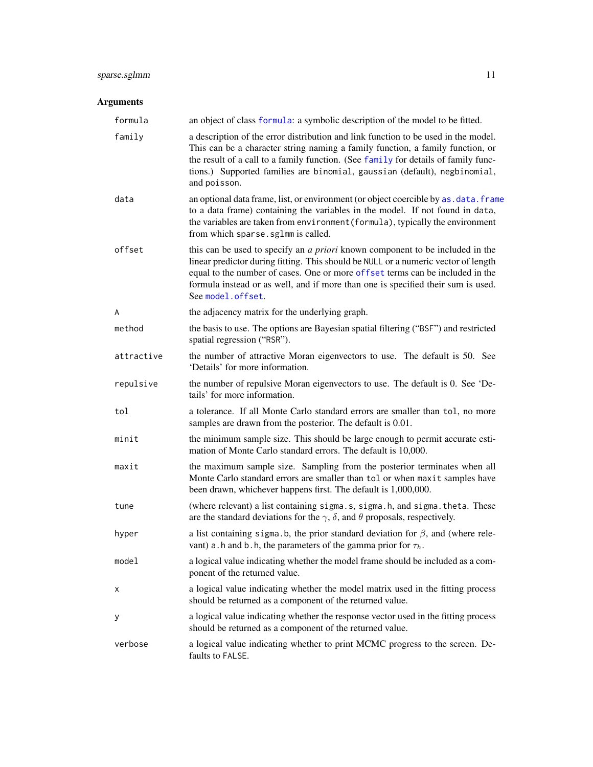# <span id="page-10-0"></span>sparse.sglmm 11

| formula    | an object of class formula: a symbolic description of the model to be fitted.                                                                                                                                                                                                                                                                                        |
|------------|----------------------------------------------------------------------------------------------------------------------------------------------------------------------------------------------------------------------------------------------------------------------------------------------------------------------------------------------------------------------|
| family     | a description of the error distribution and link function to be used in the model.<br>This can be a character string naming a family function, a family function, or<br>the result of a call to a family function. (See family for details of family func-<br>tions.) Supported families are binomial, gaussian (default), negbinomial,<br>and poisson.              |
| data       | an optional data frame, list, or environment (or object coercible by as. data. frame<br>to a data frame) containing the variables in the model. If not found in data,<br>the variables are taken from environment (formula), typically the environment<br>from which sparse.sglmm is called.                                                                         |
| offset     | this can be used to specify an <i>a priori</i> known component to be included in the<br>linear predictor during fitting. This should be NULL or a numeric vector of length<br>equal to the number of cases. One or more offset terms can be included in the<br>formula instead or as well, and if more than one is specified their sum is used.<br>See model.offset. |
| A          | the adjacency matrix for the underlying graph.                                                                                                                                                                                                                                                                                                                       |
| method     | the basis to use. The options are Bayesian spatial filtering ("BSF") and restricted<br>spatial regression ("RSR").                                                                                                                                                                                                                                                   |
| attractive | the number of attractive Moran eigenvectors to use. The default is 50. See<br>'Details' for more information.                                                                                                                                                                                                                                                        |
| repulsive  | the number of repulsive Moran eigenvectors to use. The default is 0. See 'De-<br>tails' for more information.                                                                                                                                                                                                                                                        |
| tol        | a tolerance. If all Monte Carlo standard errors are smaller than tol, no more<br>samples are drawn from the posterior. The default is 0.01.                                                                                                                                                                                                                          |
| minit      | the minimum sample size. This should be large enough to permit accurate esti-<br>mation of Monte Carlo standard errors. The default is 10,000.                                                                                                                                                                                                                       |
| maxit      | the maximum sample size. Sampling from the posterior terminates when all<br>Monte Carlo standard errors are smaller than tol or when maxit samples have<br>been drawn, whichever happens first. The default is 1,000,000.                                                                                                                                            |
| tune       | (where relevant) a list containing sigma.s, sigma.h, and sigma.theta. These<br>are the standard deviations for the $\gamma$ , $\delta$ , and $\theta$ proposals, respectively.                                                                                                                                                                                       |
| hyper      | a list containing sigma. b, the prior standard deviation for $\beta$ , and (where rele-<br>vant) a. h and b. h, the parameters of the gamma prior for $\tau_h$                                                                                                                                                                                                       |
| model      | a logical value indicating whether the model frame should be included as a com-<br>ponent of the returned value.                                                                                                                                                                                                                                                     |
| Χ          | a logical value indicating whether the model matrix used in the fitting process<br>should be returned as a component of the returned value.                                                                                                                                                                                                                          |
| у          | a logical value indicating whether the response vector used in the fitting process<br>should be returned as a component of the returned value.                                                                                                                                                                                                                       |
| verbose    | a logical value indicating whether to print MCMC progress to the screen. De-<br>faults to FALSE.                                                                                                                                                                                                                                                                     |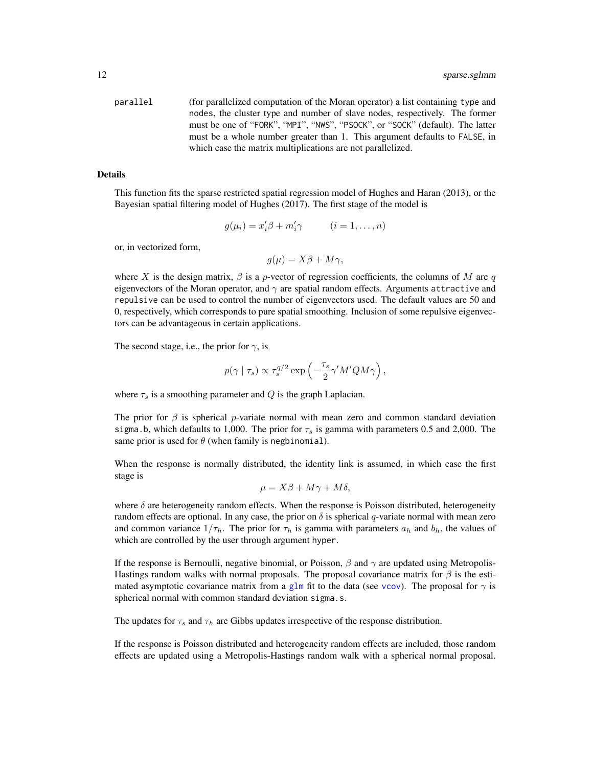<span id="page-11-0"></span>parallel (for parallelized computation of the Moran operator) a list containing type and nodes, the cluster type and number of slave nodes, respectively. The former must be one of "FORK", "MPI", "NWS", "PSOCK", or "SOCK" (default). The latter must be a whole number greater than 1. This argument defaults to FALSE, in which case the matrix multiplications are not parallelized.

#### Details

This function fits the sparse restricted spatial regression model of Hughes and Haran (2013), or the Bayesian spatial filtering model of Hughes (2017). The first stage of the model is

$$
g(\mu_i) = x_i' \beta + m_i' \gamma \qquad (i = 1, \dots, n)
$$

or, in vectorized form,

$$
g(\mu) = X\beta + M\gamma,
$$

where X is the design matrix,  $\beta$  is a p-vector of regression coefficients, the columns of M are q eigenvectors of the Moran operator, and  $\gamma$  are spatial random effects. Arguments attractive and repulsive can be used to control the number of eigenvectors used. The default values are 50 and 0, respectively, which corresponds to pure spatial smoothing. Inclusion of some repulsive eigenvectors can be advantageous in certain applications.

The second stage, i.e., the prior for  $\gamma$ , is

$$
p(\gamma \mid \tau_s) \propto \tau_s^{q/2} \exp\left(-\frac{\tau_s}{2}\gamma' M' Q M \gamma\right),\,
$$

where  $\tau_s$  is a smoothing parameter and Q is the graph Laplacian.

The prior for  $\beta$  is spherical p-variate normal with mean zero and common standard deviation sigma.b, which defaults to 1,000. The prior for  $\tau_s$  is gamma with parameters 0.5 and 2,000. The same prior is used for  $\theta$  (when family is negbinomial).

When the response is normally distributed, the identity link is assumed, in which case the first stage is

$$
\mu = X\beta + M\gamma + M\delta,
$$

where  $\delta$  are heterogeneity random effects. When the response is Poisson distributed, heterogeneity random effects are optional. In any case, the prior on  $\delta$  is spherical q-variate normal with mean zero and common variance  $1/\tau_h$ . The prior for  $\tau_h$  is gamma with parameters  $a_h$  and  $b_h$ , the values of which are controlled by the user through argument hyper.

If the response is Bernoulli, negative binomial, or Poisson,  $\beta$  and  $\gamma$  are updated using Metropolis-Hastings random walks with normal proposals. The proposal covariance matrix for  $\beta$  is the estimated asymptotic covariance matrix from a [glm](#page-0-0) fit to the data (see [vcov](#page-0-0)). The proposal for  $\gamma$  is spherical normal with common standard deviation sigma.s.

The updates for  $\tau_s$  and  $\tau_h$  are Gibbs updates irrespective of the response distribution.

If the response is Poisson distributed and heterogeneity random effects are included, those random effects are updated using a Metropolis-Hastings random walk with a spherical normal proposal.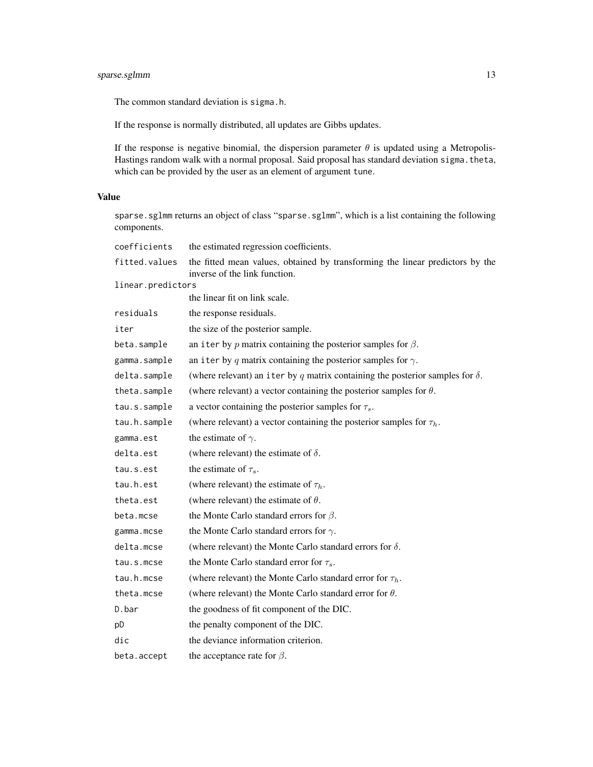# sparse.sglmm 13

The common standard deviation is sigma.h.

If the response is normally distributed, all updates are Gibbs updates.

If the response is negative binomial, the dispersion parameter  $\theta$  is updated using a Metropolis-Hastings random walk with a normal proposal. Said proposal has standard deviation sigma. theta, which can be provided by the user as an element of argument tune.

# Value

sparse.sglmm returns an object of class "sparse.sglmm", which is a list containing the following components.

| coefficients      | the estimated regression coefficients.                                                                         |
|-------------------|----------------------------------------------------------------------------------------------------------------|
| fitted.values     | the fitted mean values, obtained by transforming the linear predictors by the<br>inverse of the link function. |
| linear.predictors |                                                                                                                |
|                   | the linear fit on link scale.                                                                                  |
| residuals         | the response residuals.                                                                                        |
| iter              | the size of the posterior sample.                                                                              |
| beta.sample       | an iter by p matrix containing the posterior samples for $\beta$ .                                             |
| gamma.sample      | an iter by q matrix containing the posterior samples for $\gamma$ .                                            |
| delta.sample      | (where relevant) an iter by q matrix containing the posterior samples for $\delta$ .                           |
| theta.sample      | (where relevant) a vector containing the posterior samples for $\theta$ .                                      |
| tau.s.sample      | a vector containing the posterior samples for $\tau_s$ .                                                       |
| tau.h.sample      | (where relevant) a vector containing the posterior samples for $\tau_h$ .                                      |
| gamma.est         | the estimate of $\gamma$ .                                                                                     |
| delta.est         | (where relevant) the estimate of $\delta$ .                                                                    |
| tau.s.est         | the estimate of $\tau_s$ .                                                                                     |
| tau.h.est         | (where relevant) the estimate of $\tau_h$ .                                                                    |
| theta.est         | (where relevant) the estimate of $\theta$ .                                                                    |
| beta.mcse         | the Monte Carlo standard errors for $\beta$ .                                                                  |
| gamma.mcse        | the Monte Carlo standard errors for $\gamma$ .                                                                 |
| delta.mcse        | (where relevant) the Monte Carlo standard errors for $\delta$ .                                                |
| tau.s.mcse        | the Monte Carlo standard error for $\tau_s$ .                                                                  |
| tau.h.mcse        | (where relevant) the Monte Carlo standard error for $\tau_h$ .                                                 |
| theta.mcse        | (where relevant) the Monte Carlo standard error for $\theta$ .                                                 |
| D.bar             | the goodness of fit component of the DIC.                                                                      |
| pD                | the penalty component of the DIC.                                                                              |
| dic               | the deviance information criterion.                                                                            |
| beta.accept       | the acceptance rate for $\beta$ .                                                                              |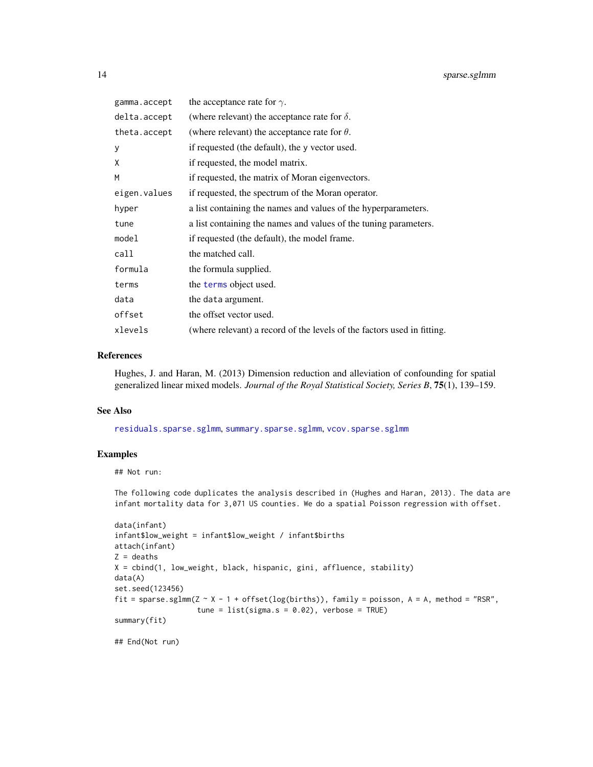<span id="page-13-0"></span>

| gamma.accept | the acceptance rate for $\gamma$ .                                      |
|--------------|-------------------------------------------------------------------------|
| delta.accept | (where relevant) the acceptance rate for $\delta$ .                     |
| theta.accept | (where relevant) the acceptance rate for $\theta$ .                     |
| y            | if requested (the default), the y vector used.                          |
| X            | if requested, the model matrix.                                         |
| M            | if requested, the matrix of Moran eigenvectors.                         |
| eigen.values | if requested, the spectrum of the Moran operator.                       |
| hyper        | a list containing the names and values of the hyperparameters.          |
| tune         | a list containing the names and values of the tuning parameters.        |
| model        | if requested (the default), the model frame.                            |
| call         | the matched call.                                                       |
| formula      | the formula supplied.                                                   |
| terms        | the terms object used.                                                  |
| data         | the data argument.                                                      |
| offset       | the offset vector used.                                                 |
| xlevels      | (where relevant) a record of the levels of the factors used in fitting. |

#### References

Hughes, J. and Haran, M. (2013) Dimension reduction and alleviation of confounding for spatial generalized linear mixed models. *Journal of the Royal Statistical Society, Series B*, 75(1), 139–159.

#### See Also

[residuals.sparse.sglmm](#page-9-2), [summary.sparse.sglmm](#page-14-2), [vcov.sparse.sglmm](#page-16-1)

#### Examples

## Not run:

The following code duplicates the analysis described in (Hughes and Haran, 2013). The data are infant mortality data for 3,071 US counties. We do a spatial Poisson regression with offset.

```
data(infant)
infant$low_weight = infant$low_weight / infant$births
attach(infant)
Z = deaths
X = cbind(1, low_weight, black, hispanic, gini, affluence, stability)
data(A)
set.seed(123456)
fit = sparse.sglmm(Z \sim X - 1 + offset(log(births)), family = poisson, A = A, method = "RSR",
                   tune = list(sigma.s = 0.02), verbose = TRUE)
summary(fit)
```
## End(Not run)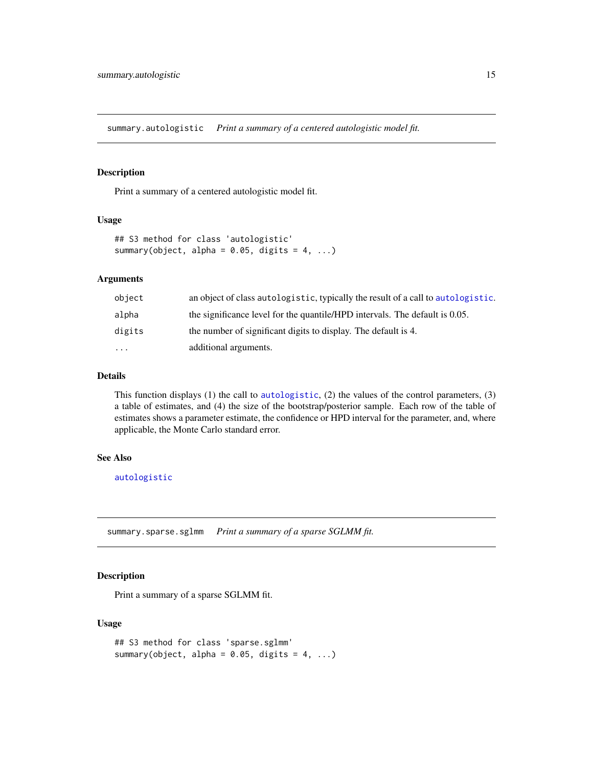<span id="page-14-1"></span><span id="page-14-0"></span>summary.autologistic *Print a summary of a centered autologistic model fit.*

# Description

Print a summary of a centered autologistic model fit.

### Usage

```
## S3 method for class 'autologistic'
summary(object, alpha = 0.05, digits = 4, ...)
```
# Arguments

| object   | an object of class autologistic, typically the result of a call to autologistic. |
|----------|----------------------------------------------------------------------------------|
| alpha    | the significance level for the quantile/HPD intervals. The default is 0.05.      |
| digits   | the number of significant digits to display. The default is 4.                   |
| $\cdots$ | additional arguments.                                                            |

#### Details

This function displays (1) the call to [autologistic](#page-2-1), (2) the values of the control parameters, (3) a table of estimates, and (4) the size of the bootstrap/posterior sample. Each row of the table of estimates shows a parameter estimate, the confidence or HPD interval for the parameter, and, where applicable, the Monte Carlo standard error.

# See Also

[autologistic](#page-2-1)

<span id="page-14-2"></span>summary.sparse.sglmm *Print a summary of a sparse SGLMM fit.*

# Description

Print a summary of a sparse SGLMM fit.

# Usage

```
## S3 method for class 'sparse.sglmm'
summary(object, alpha = 0.05, digits = 4, ...)
```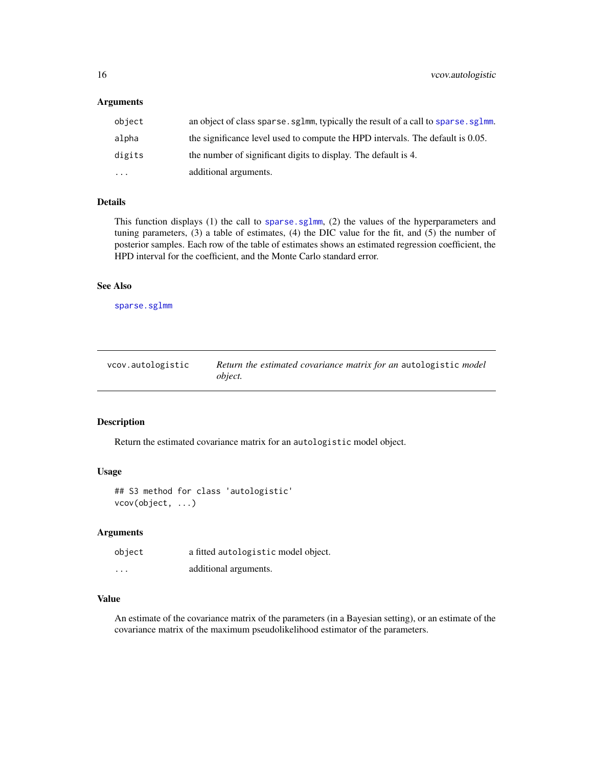# <span id="page-15-0"></span>Arguments

| object    | an object of class sparse, sglmm, typically the result of a call to sparse, sglmm. |
|-----------|------------------------------------------------------------------------------------|
| alpha     | the significance level used to compute the HPD intervals. The default is 0.05.     |
| digits    | the number of significant digits to display. The default is 4.                     |
| $\ddotsc$ | additional arguments.                                                              |

# Details

This function displays (1) the call to [sparse.sglmm](#page-9-1), (2) the values of the hyperparameters and tuning parameters, (3) a table of estimates, (4) the DIC value for the fit, and (5) the number of posterior samples. Each row of the table of estimates shows an estimated regression coefficient, the HPD interval for the coefficient, and the Monte Carlo standard error.

#### See Also

[sparse.sglmm](#page-9-1)

<span id="page-15-1"></span>

| vcov.autologistic | Return the estimated covariance matrix for an autologistic model |
|-------------------|------------------------------------------------------------------|
|                   | <i>object.</i>                                                   |

# Description

Return the estimated covariance matrix for an autologistic model object.

# Usage

## S3 method for class 'autologistic' vcov(object, ...)

# Arguments

| object  | a fitted autologistic model object. |
|---------|-------------------------------------|
| $\cdot$ | additional arguments.               |

# Value

An estimate of the covariance matrix of the parameters (in a Bayesian setting), or an estimate of the covariance matrix of the maximum pseudolikelihood estimator of the parameters.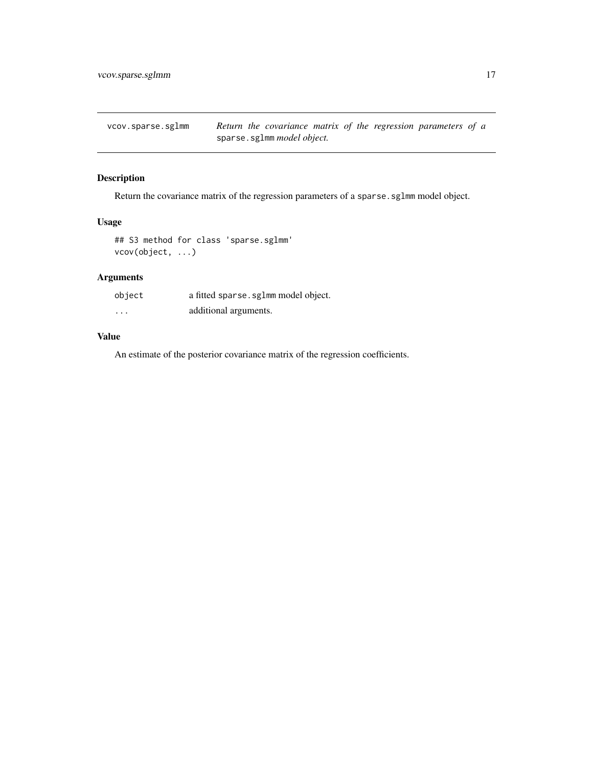<span id="page-16-1"></span><span id="page-16-0"></span>vcov.sparse.sglmm *Return the covariance matrix of the regression parameters of a* sparse.sglmm *model object.*

# Description

Return the covariance matrix of the regression parameters of a sparse.sglmm model object.

# Usage

```
## S3 method for class 'sparse.sglmm'
vcov(object, ...)
```
# Arguments

| object   | a fitted sparse. sglmm model object. |
|----------|--------------------------------------|
| $\cdots$ | additional arguments.                |

# Value

An estimate of the posterior covariance matrix of the regression coefficients.